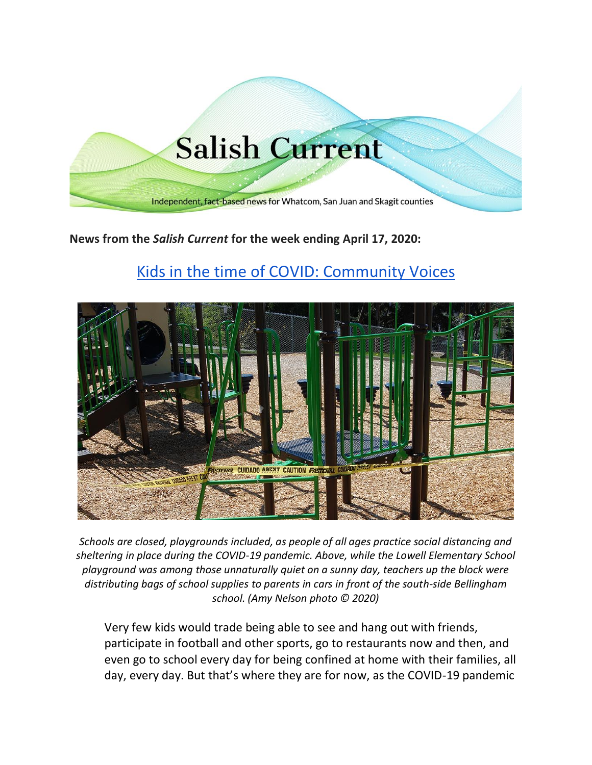

# **News from the** *Salish Current* **for the week ending April 17, 2020:**

# [Kids in the time of COVID: Community Voices](https://salish-current.org/2020/04/17/kids-in-the-time-of-covid-community-voices/)



*Schools are closed, playgrounds included, as people of all ages practice social distancing and sheltering in place during the COVID-19 pandemic. Above, while the Lowell Elementary School playground was among those unnaturally quiet on a sunny day, teachers up the block were distributing bags of school supplies to parents in cars in front of the south-side Bellingham school. (Amy Nelson photo © 2020)*

Very few kids would trade being able to see and hang out with friends, participate in football and other sports, go to restaurants now and then, and even go to school every day for being confined at home with their families, all day, every day. But that's where they are for now, as the COVID-19 pandemic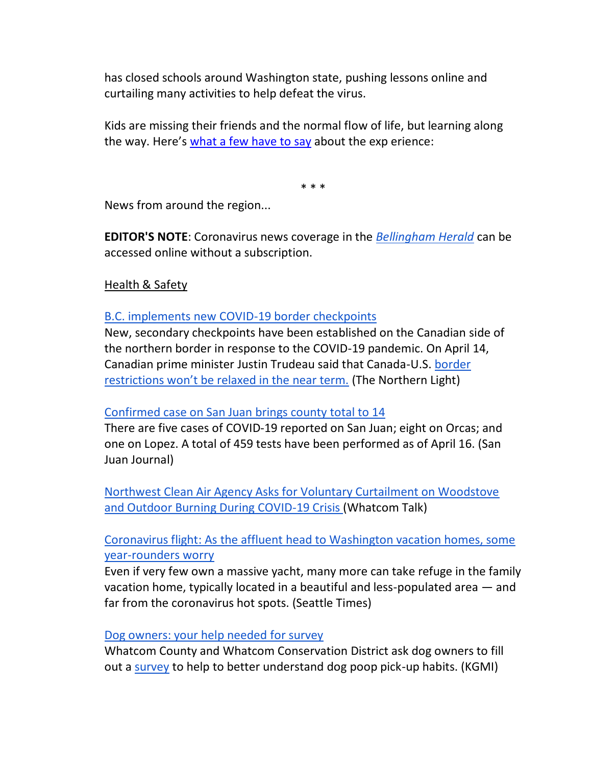has closed schools around Washington state, pushing lessons online and curtailing many activities to help defeat the virus.

Kids are missing their friends and the normal flow of life, but learning along the way. Here's [what a few have to say](https://salish-current.org/2020/04/17/kids-in-the-time-of-covid-community-voices/) about the exp erience:

\* \* \*

News from around the region...

**EDITOR'S NOTE**: Coronavirus news coverage in the *[Bellingham Herald](https://www.bellinghamherald.com/)* can be accessed online without a subscription.

Health & Safety

[B.C. implements new COVID-19 border checkpoints](https://www.thenorthernlight.com/stories/bc-implements-new-covid-19-border-checkpoints,10263?)

New, secondary checkpoints have been established on the Canadian side of the northern border in response to the COVID-19 pandemic. On April 14, Canadian prime minister Justin Trudeau said that Canada-U.S. [border](https://nationalpost.com/news/world/restrictions-at-canada-u-s-border-could-soon-be-eased-trump-suggests)  [restrictions won't be relaxed in the near term.](https://nationalpost.com/news/world/restrictions-at-canada-u-s-border-could-soon-be-eased-trump-suggests) (The Northern Light)

# [Confirmed case on San Juan brings county total to 14](https://www.sanjuanjournal.com/news/confirmed-case-on-san-juan-brings-county-total-to-14/)

There are five cases of COVID-19 reported on San Juan; eight on Orcas; and one on Lopez. A total of 459 tests have been performed as of April 16. (San Juan Journal)

[Northwest Clean Air Agency Asks for Voluntary Curtailment on Woodstove](https://www.whatcomtalk.com/2020/04/15/northwest-clean-air-agency-asks-for-voluntary-curtailment-on-woodstove-and-outdoor-burning-during-covid-19-crisis/)  [and Outdoor Burning During COVID-19 Crisis](https://www.whatcomtalk.com/2020/04/15/northwest-clean-air-agency-asks-for-voluntary-curtailment-on-woodstove-and-outdoor-burning-during-covid-19-crisis/) (Whatcom Talk)

[Coronavirus flight: As the affluent head to Washington vacation homes, some](https://www.seattletimes.com/seattle-news/data/fleeing-seattle-affluent-urbanites-head-to-vacation-homes-worrying-some-year-rounders/?utm_source=referral&utm_medium=mobile-app&utm_campaign=ios)  [year-rounders worry](https://www.seattletimes.com/seattle-news/data/fleeing-seattle-affluent-urbanites-head-to-vacation-homes-worrying-some-year-rounders/?utm_source=referral&utm_medium=mobile-app&utm_campaign=ios)

Even if very few own a massive yacht, many more can take refuge in the family vacation home, typically located in a beautiful and less-populated area — and far from the coronavirus hot spots. (Seattle Times)

[Dog owners: your help needed for survey](https://kgmi.com/news/007700-dog-owners-your-help-needed-for-survey/)

Whatcom County and Whatcom Conservation District ask dog owners to fill out a [survey](https://www.surveymonkey.com/r/whatcomdog) to help to better understand dog poop pick-up habits. (KGMI)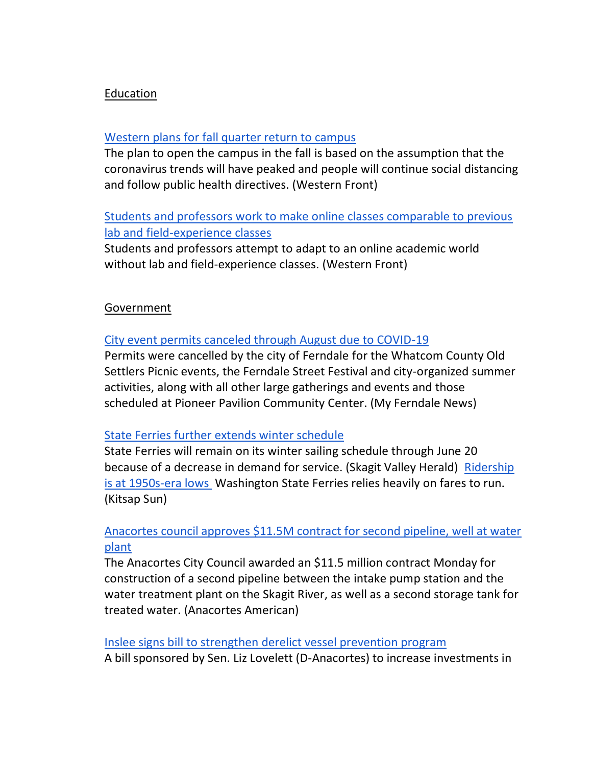## Education

#### [Western plans for fall quarter return to campus](https://www.westernfrontonline.com/2020/04/13/western-plans-for-fall-quarter-return-to-campus/)

The plan to open the campus in the fall is based on the assumption that the coronavirus trends will have peaked and people will continue social distancing and follow public health directives. (Western Front)

# [Students and professors work to make online classes comparable to previous](https://www.westernfrontonline.com/2020/04/15/hands-on-learning-in-a-virtual-environment/)  [lab and field-experience classes](https://www.westernfrontonline.com/2020/04/15/hands-on-learning-in-a-virtual-environment/)

Students and professors attempt to adapt to an online academic world without lab and field-experience classes. (Western Front)

#### Government

#### [City event permits canceled through August due to COVID-19](https://myferndalenews.com/city-event-permits-canceled-through-august-due-to-covid-19_102068/)

Permits were cancelled by the city of Ferndale for the Whatcom County Old Settlers Picnic events, the Ferndale Street Festival and city-organized summer activities, along with all other large gatherings and events and those scheduled at Pioneer Pavilion Community Center. (My Ferndale News)

#### [State Ferries further extends winter schedule](https://www.goskagit.com/coronavirus/state-ferries-further-extends-winter-schedule/article_fe461df3-4da6-51c8-81bc-a0d53d532464.html?utm_medium=social&utm_source=email&utm_campaign=user-share)

State Ferries will remain on its winter sailing schedule through June 20 because of a decrease in demand for service. (Skagit Valley Herald) [Ridership](https://www.kitsapsun.com/story/news/2020/04/14/state-ferry-ridership-hits-1950-s-era-lows-revenue-plummets/2992370001/)  [is at 1950s-era lows](https://www.kitsapsun.com/story/news/2020/04/14/state-ferry-ridership-hits-1950-s-era-lows-revenue-plummets/2992370001/) Washington State Ferries relies heavily on fares to run. (Kitsap Sun)

## [Anacortes council approves \\$11.5M contract for second pipeline, well at water](https://www.goskagit.com/anacortes/news/anacortes-council-approves-11-5m-contract-for-second-pipeline-well-at-water-plant/article_36fbf8d4-7f49-11ea-b49f-578c94ebce9a.html)  [plant](https://www.goskagit.com/anacortes/news/anacortes-council-approves-11-5m-contract-for-second-pipeline-well-at-water-plant/article_36fbf8d4-7f49-11ea-b49f-578c94ebce9a.html)

The Anacortes City Council awarded an \$11.5 million contract Monday for construction of a second pipeline between the intake pump station and the water treatment plant on the Skagit River, as well as a second storage tank for treated water. (Anacortes American)

#### [Inslee signs bill to strengthen derelict vessel prevention program](https://sanjuanislander.com/news-articles/government-news/state/30868/inslee-signs-bill-to-strengthen-derelict-vessel-prevention-program)

A bill sponsored by Sen. Liz Lovelett (D-Anacortes) to increase investments in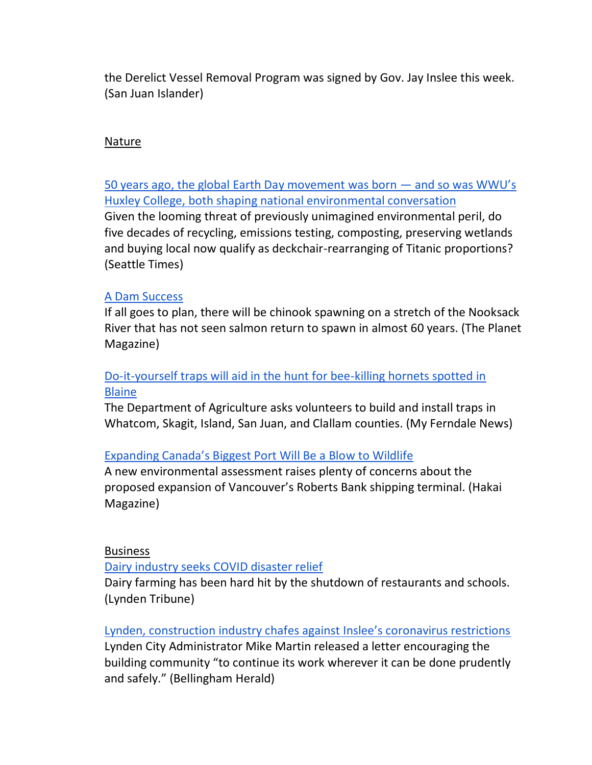the Derelict Vessel Removal Program was signed by Gov. Jay Inslee this week. (San Juan Islander)

#### Nature

[50 years ago, the global Earth Day movement was born](https://www.seattletimes.com/pacific-nw-magazine/50-years-ago-the-global-earth-day-movement-was-born-and-so-was-western-washington-universitys-huxley-college-both-have-shaped-and-reflected-our-national-environmental-conversation/) — and so was WWU's [Huxley College, both shaping national environmental conversation](https://www.seattletimes.com/pacific-nw-magazine/50-years-ago-the-global-earth-day-movement-was-born-and-so-was-western-washington-universitys-huxley-college-both-have-shaped-and-reflected-our-national-environmental-conversation/) Given the looming threat of previously unimagined environmental peril, do five decades of recycling, emissions testing, composting, preserving wetlands and buying local now qualify as deckchair-rearranging of Titanic proportions? (Seattle Times)

## [A Dam Success](https://theplanetmagazine.net/a-dam-success-49e2852a5155)

If all goes to plan, there will be chinook spawning on a stretch of the Nooksack River that has not seen salmon return to spawn in almost 60 years. (The Planet Magazine)

# [Do-it-yourself traps will aid in the hunt for bee-killing hornets spotted in](https://myferndalenews.com/do-it-yourself-traps-will-aid-in-the-hunt-for-bee-killing-hornets-spotted-in-blaine_102034/)  [Blaine](https://myferndalenews.com/do-it-yourself-traps-will-aid-in-the-hunt-for-bee-killing-hornets-spotted-in-blaine_102034/)

The Department of Agriculture asks volunteers to build and install traps in Whatcom, Skagit, Island, San Juan, and Clallam counties. (My Ferndale News)

# Expandi[ng Canada's Biggest Port Will Be a Blow to Wildlife](https://www.hakaimagazine.com/news/expanding-canadas-biggest-port-will-be-a-blow-to-wildlife/)

A new environmental assessment raises plenty of concerns about the proposed expansion of Vancouver's Roberts Bank shipping terminal. (Hakai Magazine)

#### Business

[Dairy industry seeks COVID disaster relief](https://www.lyndentribune.com/news/dairy-industry-seeks-covid-disaster-relief/article_de36dc10-7ea2-11ea-a698-dfda44c6ee29.html)

Dairy farming has been hard hit by the shutdown of restaurants and schools. (Lynden Tribune)

# [Lynden, construction industry chafes against Inslee's coronavirus restrictions](https://www.bellinghamherald.com/news/coronavirus/article241919166.html)

Lynden City Administrator Mike Martin released a letter encouraging the building community "to continue its work wherever it can be done prudently and safely." (Bellingham Herald)